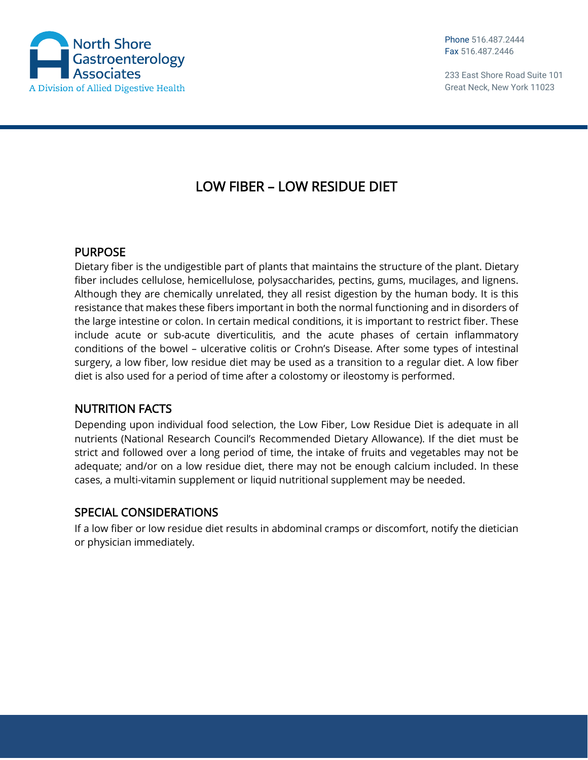

233 East Shore Road Suite 101 Great Neck, New York 11023

## LOW FIBER – LOW RESIDUE DIET

## PURPOSE

Dietary fiber is the undigestible part of plants that maintains the structure of the plant. Dietary fiber includes cellulose, hemicellulose, polysaccharides, pectins, gums, mucilages, and lignens. Although they are chemically unrelated, they all resist digestion by the human body. It is this resistance that makes these fibers important in both the normal functioning and in disorders of the large intestine or colon. In certain medical conditions, it is important to restrict fiber. These include acute or sub-acute diverticulitis, and the acute phases of certain inflammatory conditions of the bowel – ulcerative colitis or Crohn's Disease. After some types of intestinal surgery, a low fiber, low residue diet may be used as a transition to a regular diet. A low fiber diet is also used for a period of time after a colostomy or ileostomy is performed.

## NUTRITION FACTS

Depending upon individual food selection, the Low Fiber, Low Residue Diet is adequate in all nutrients (National Research Council's Recommended Dietary Allowance). If the diet must be strict and followed over a long period of time, the intake of fruits and vegetables may not be adequate; and/or on a low residue diet, there may not be enough calcium included. In these cases, a multi-vitamin supplement or liquid nutritional supplement may be needed.

## SPECIAL CONSIDERATIONS

If a low fiber or low residue diet results in abdominal cramps or discomfort, notify the dietician or physician immediately.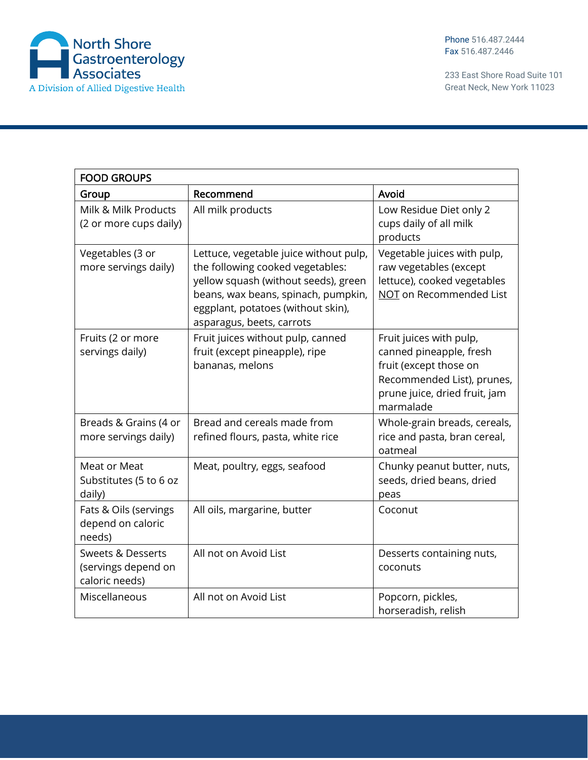

233 East Shore Road Suite 101 Great Neck, New York 11023

| <b>FOOD GROUPS</b>                                                    |                                                                                                                                                                                                                              |                                                                                                                                                          |  |  |  |  |
|-----------------------------------------------------------------------|------------------------------------------------------------------------------------------------------------------------------------------------------------------------------------------------------------------------------|----------------------------------------------------------------------------------------------------------------------------------------------------------|--|--|--|--|
| Group                                                                 | Recommend                                                                                                                                                                                                                    | Avoid                                                                                                                                                    |  |  |  |  |
| Milk & Milk Products<br>(2 or more cups daily)                        | All milk products                                                                                                                                                                                                            | Low Residue Diet only 2<br>cups daily of all milk<br>products                                                                                            |  |  |  |  |
| Vegetables (3 or<br>more servings daily)                              | Lettuce, vegetable juice without pulp,<br>the following cooked vegetables:<br>yellow squash (without seeds), green<br>beans, wax beans, spinach, pumpkin,<br>eggplant, potatoes (without skin),<br>asparagus, beets, carrots | Vegetable juices with pulp,<br>raw vegetables (except<br>lettuce), cooked vegetables<br>NOT on Recommended List                                          |  |  |  |  |
| Fruits (2 or more<br>servings daily)                                  | Fruit juices without pulp, canned<br>fruit (except pineapple), ripe<br>bananas, melons                                                                                                                                       | Fruit juices with pulp,<br>canned pineapple, fresh<br>fruit (except those on<br>Recommended List), prunes,<br>prune juice, dried fruit, jam<br>marmalade |  |  |  |  |
| Breads & Grains (4 or<br>more servings daily)                         | Bread and cereals made from<br>refined flours, pasta, white rice                                                                                                                                                             | Whole-grain breads, cereals,<br>rice and pasta, bran cereal,<br>oatmeal                                                                                  |  |  |  |  |
| Meat or Meat<br>Substitutes (5 to 6 oz<br>daily)                      | Meat, poultry, eggs, seafood                                                                                                                                                                                                 | Chunky peanut butter, nuts,<br>seeds, dried beans, dried<br>peas                                                                                         |  |  |  |  |
| Fats & Oils (servings<br>depend on caloric<br>needs)                  | All oils, margarine, butter                                                                                                                                                                                                  | Coconut                                                                                                                                                  |  |  |  |  |
| <b>Sweets &amp; Desserts</b><br>(servings depend on<br>caloric needs) | All not on Avoid List                                                                                                                                                                                                        | Desserts containing nuts,<br>coconuts                                                                                                                    |  |  |  |  |
| Miscellaneous                                                         | All not on Avoid List                                                                                                                                                                                                        | Popcorn, pickles,<br>horseradish, relish                                                                                                                 |  |  |  |  |